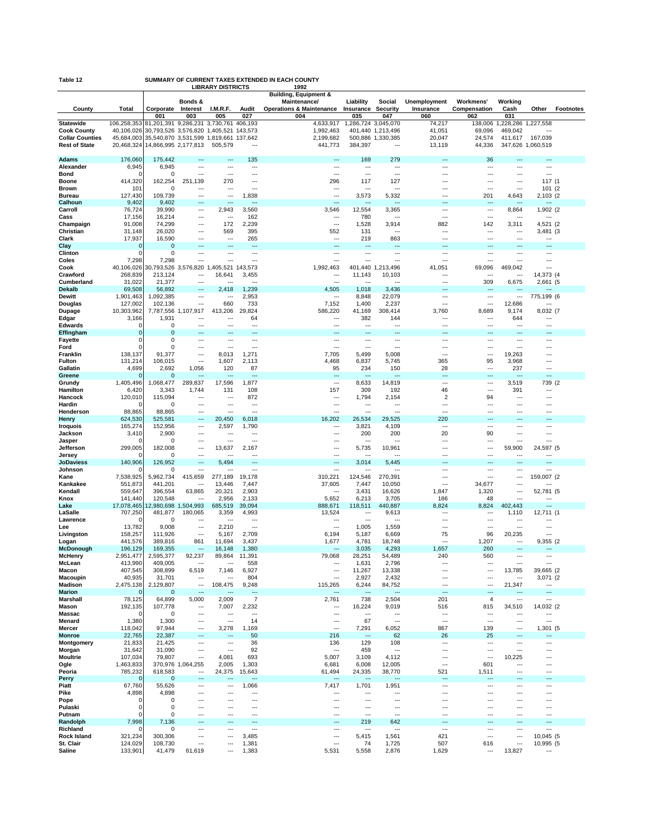| Table 12 | SUMMARY OF CURRENT TAXES EXTENDED IN EACH COUNTY |      |  |  |  |  |  |
|----------|--------------------------------------------------|------|--|--|--|--|--|
|          | <b>LIBRARY DISTRICTS</b>                         | 1992 |  |  |  |  |  |

|                                              |                       | <b>LIBRARY DISTRICTS</b>                                                                               |                          |                       |                       | 1992<br><b>Building, Equipment &amp;</b> |                          |                                        |                                    |                  |                          |                    |                  |
|----------------------------------------------|-----------------------|--------------------------------------------------------------------------------------------------------|--------------------------|-----------------------|-----------------------|------------------------------------------|--------------------------|----------------------------------------|------------------------------------|------------------|--------------------------|--------------------|------------------|
|                                              |                       |                                                                                                        | Bonds &                  |                       |                       | Maintenance/                             | Liability                | Social                                 | <b>Unemployment</b>                | Workmens'        | Working                  |                    |                  |
| County                                       | Total                 | Corporate                                                                                              | Interest                 | I.M.R.F.              | Audit                 | <b>Operations &amp; Maintenance</b>      | Insurance                | <b>Security</b>                        | Insurance                          | Compensation     | Cash                     | Other              | <b>Footnotes</b> |
|                                              |                       | 001                                                                                                    | 003                      | 005                   | 027                   | 004                                      | 035                      | 047                                    | 060                                | 062              | 031                      |                    |                  |
| <b>Statewide</b>                             | 106.258.353           | 81,201,391 9,286,231                                                                                   |                          | 3,730,761             | 406.193               | 4.633.917                                | 1,286,724 3,045,070      |                                        | 74,217                             | 138,006          | 1,228,286                | 1,227,558          |                  |
| <b>Cook County</b><br><b>Collar Counties</b> |                       | 40,106,026 30,793,526 3,576,820 1,405,521 143,573<br>45,684,003 35,540,870 3,531,599 1,819,661 137,642 |                          |                       |                       | 1,992,463<br>2,199,682                   |                          | 401,440 1,213,496<br>500,886 1,330,385 | 41,051<br>20,047                   | 69,096<br>24,574 | 469,042<br>411,617       | ---<br>167,039     |                  |
| <b>Rest of State</b>                         |                       | 20,468,324 14,866,995 2,177,813                                                                        |                          | 505,579               | ---                   | 441,773                                  | 384,397                  | ---                                    | 13,119                             | 44,336           |                          | 347,626 1,060,519  |                  |
|                                              |                       |                                                                                                        |                          |                       |                       |                                          |                          |                                        |                                    |                  |                          |                    |                  |
| Adams                                        | 176,060               | 175,442                                                                                                |                          | …                     | 135                   | ---                                      | 169                      | 279                                    |                                    | 36               | ---                      |                    |                  |
| Alexander                                    | 6,945                 | 6,945                                                                                                  | ---                      | ---                   | ---                   | ---                                      | ---                      | $\ddotsc$                              | ---                                | ---              | ---                      | ---                |                  |
| Bond                                         |                       | 0                                                                                                      |                          |                       |                       |                                          | ---                      | ---                                    |                                    |                  | ---                      | ---                |                  |
| <b>Boone</b>                                 | 414,320               | 162,254                                                                                                | 251,139                  | 270                   | ---                   | 296                                      | 117                      | 127                                    | $\sim$                             | ---              | ---                      | 117 (1             |                  |
| <b>Brown</b><br><b>Bureau</b>                | 101<br>127,430        | $^{\circ}$<br>109,739                                                                                  | ⊷<br>…                   | ---<br>---            | <br>1,838             | ---<br>---                               | …<br>3,573               | 5,332                                  | ---                                | ---<br>201       | ---<br>4,643             | 101(2)<br>2,103 (2 |                  |
| Calhoun                                      | 9,402                 | 9,402                                                                                                  | ---                      | ---                   | ---                   | ---                                      | ---                      | ---                                    |                                    | ---              | ---                      | ---                |                  |
| Carroll                                      | 76,724                | 39,990                                                                                                 | ---                      | 2,943                 | 3,560                 | 3,546                                    | 12,554                   | 3,365                                  | $\overline{\phantom{a}}$           | ---              | 8,864                    | 1,902 (2)          |                  |
| Cass                                         | 17,156                | 16,214                                                                                                 | ---                      | ---                   | 162                   | ---                                      | 780                      | ---                                    | ---                                | ---              | $--$                     | ---                |                  |
| Champaign                                    | 91,008                | 74,299                                                                                                 |                          | 172                   | 2,239                 | ---                                      | 1,528                    | 3,914                                  | 882                                | 142              | 3,311                    | 4,521 (2           |                  |
| Christian                                    | 31,148                | 26,020                                                                                                 | ---                      | 569                   | 395                   | 552                                      | 131                      | $--$                                   | $\sim$                             | ---              | $---$                    | 3,481 (3           |                  |
| Clark                                        | 17,937<br>$\Omega$    | 16,590<br>$\mathbf 0$                                                                                  | …<br>…                   | ---<br>---            | 265<br>---            | ---<br>---                               | 219<br>…                 | 863<br>---                             | $\sim$<br>---                      | ---<br>---       | $\sim$<br>---            | ---<br>---         |                  |
| Clay<br>Clinton                              |                       | $\mathbf 0$                                                                                            | ---                      | ---                   | ---                   | ---                                      | ---                      | ---                                    | ---                                | ---              | ---                      | ---                |                  |
| Coles                                        | 7,298                 | 7,298                                                                                                  | ---                      | $\overline{a}$        | ---                   | ---                                      | $\overline{\phantom{a}}$ | ---                                    | ---                                | ---              | $\cdots$                 | ---                |                  |
| Cook                                         |                       | 40,106,026 30,793,526                                                                                  | 3,576,820                | ,405,521              | 143,573               | 1,992,463                                | 401,440 1                | ,213,496                               | 41,051                             | 69,096           | 469,042                  |                    |                  |
| Crawford                                     | 268,839               | 213,124                                                                                                | ---                      | 16,641                | 3,455                 | ---                                      | 11,143                   | 10,103                                 | $\sim$                             | $-$              | $---$                    | 14,373 (4          |                  |
| Cumberland                                   | 31,022                | 21,377                                                                                                 | ---                      | ---                   | ---                   | ---                                      | …                        | ---                                    | ---                                | 309              | 6,675                    | 2,661 (5           |                  |
| <b>Dekalb</b>                                | 69,508                | 56,892                                                                                                 | ---                      | 2,418                 | 1,239                 | 4,505                                    | 1,018                    | 3,436                                  |                                    | ---              |                          |                    |                  |
| <b>Dewitt</b><br>Douglas                     | 1,901,463<br>127,002  | 1,092,385<br>102,136                                                                                   | ---<br>---               | ---<br>660            | 2,953<br>733          | ---<br>7,152                             | 8,848<br>1,400           | 22,079<br>2,237                        | ---<br>$\overline{a}$              | ---<br>---       | $\cdots$<br>12,686       | 775,199 (6<br>---  |                  |
| Dupage                                       | 10,303,962            | 7,787,556 1,107,917                                                                                    |                          | 413,206               | 29,824                | 586,220                                  | 41,169                   | 308,414                                | 3,760                              | 8,689            | 9,174                    | 8,032 (7           |                  |
| Edgar                                        | 3,166                 | 1,931                                                                                                  |                          |                       | 64                    |                                          | 382                      | 144                                    |                                    | ---              | 644                      | …                  |                  |
| <b>Edwards</b>                               | n                     | 0                                                                                                      | ---                      | ---                   | ---                   | ---                                      | ---                      | $\overline{\phantom{a}}$               | ---                                | ---              | $\sim$                   | ---                |                  |
| Effingham                                    | $\Omega$              | $\mathbf 0$                                                                                            |                          |                       |                       |                                          |                          |                                        |                                    |                  |                          |                    |                  |
| <b>Fayette</b>                               | 0                     | 0                                                                                                      | …                        | $\sim$                | $\sim$                | ---                                      | …                        | $\sim$                                 | $\sim$                             | ---              | $\sim$                   |                    |                  |
| Ford<br><b>Franklin</b>                      | $\Omega$              | $\mathbf 0$                                                                                            | ---<br>---               | $\overline{a}$        | ---                   | ÷÷                                       | ---                      | $\ddotsc$                              | ---<br>$\sim$                      | ---<br>---       | $\sim$                   | ---<br>            |                  |
| <b>Fulton</b>                                | 138,137<br>131,214    | 91,377<br>106,015                                                                                      | ---                      | 8,013<br>1,607        | 1,271<br>2,113        | 7,705<br>4,468                           | 5,499<br>6,837           | 5,008<br>5,745                         | 365                                | 95               | 19,263<br>3,968          | ---                |                  |
| Gallatin                                     | 4,699                 | 2,692                                                                                                  | 1,056                    | 120                   | 87                    | 95                                       | 234                      | 150                                    | 28                                 | ---              | 237                      | …                  |                  |
| Greene                                       | $\Omega$              | $\mathbf 0$                                                                                            |                          | ---                   | ---                   | ÷.,                                      |                          | ---                                    | $\overline{a}$                     | ---              | $\overline{a}$           |                    |                  |
| Grundy                                       | 1,405,496             | ,068,477<br>1                                                                                          | 289,837                  | 17,596                | 1,877                 | ---                                      | 8,633                    | 14,819                                 | ---                                | ---              | 3,519                    | 739 (2             |                  |
| Hamilton                                     | 6,420                 | 3,343                                                                                                  | 1,744                    | 131                   | 108                   | 157                                      | 309                      | 192                                    | 46                                 | ---              | 391                      | ---                |                  |
| Hancock                                      | 120,010               | 115,094                                                                                                | ---                      | ---                   | 872                   | ---                                      | 1,794                    | 2,154                                  | 2                                  | 94               | $--$                     | ---                |                  |
| Hardin<br>Henderson                          | C<br>88,865           | 0<br>88,865                                                                                            | ---<br>---               | ---<br>$\overline{a}$ | ---<br>---            | <br>---                                  | ---<br>---               | ---<br>$\ddotsc$                       | $\overline{\phantom{a}}$<br>---    | ---<br>---       | $\overline{a}$<br>$---$  | ---                |                  |
| Henry                                        | 624,530               | 525,581                                                                                                | ---                      | 20,450                | 6,018                 | 16,202                                   | 26,534                   | 29,525                                 | 220                                | ---              | ---                      | ---                |                  |
| <b>Iroquois</b>                              | 165,274               | 152,956                                                                                                | ---                      | 2,597                 | 1,790                 | ---                                      | 3,821                    | 4,109                                  | $\cdots$                           | ---              | $\cdots$                 | ---                |                  |
| Jackson                                      | 3,410                 | 2,900                                                                                                  | ---                      | ---                   | ---                   |                                          | 200                      | 200                                    | 20                                 | 90               | ---                      | ---                |                  |
| Jasper                                       |                       | $\mathbf 0$                                                                                            | ---                      | ---                   | ---                   | ---                                      | ---                      | $\overline{a}$                         | ---                                | ---              | $\cdots$                 | ---                |                  |
| Jefferson                                    | 299,005               | 182,008                                                                                                | ---                      | 13,637                | 2,167                 |                                          | 5,735                    | 10,961                                 | Ξ.                                 | ---              | 59,900                   | 24,597 (5          |                  |
| Jersey<br><b>JoDaviess</b>                   | 140,906               | $\Omega$<br>126,952                                                                                    | …<br>---                 | ---<br>5,494          | ---<br>---            | ---<br>---                               | ---<br>3,014             | ---<br>5,445                           | ---<br>$\sim$                      | ---<br>---       | $---$<br>$\cdots$        | ---<br>---         |                  |
| Johnson                                      |                       | 0                                                                                                      | ---                      |                       | ---                   |                                          |                          |                                        | ---                                | ---              | ---                      |                    |                  |
| Kane                                         | 7,538,925             | 5,962,734                                                                                              | 415,659                  | 277,189               | 19,178                | 310,221                                  | 124,546                  | 270,391                                | $\sim$                             | ---              | ---                      | 159,007 (2         |                  |
| Kankakee                                     | 551,873               | 441,201                                                                                                |                          | 13,446                | 7,447                 | 37,605                                   | 7,447                    | 10,050                                 |                                    | 34,677           | ---                      |                    |                  |
| Kendall                                      | 559,647               | 396,554                                                                                                | 63,865                   | 20,321                | 2,903                 | ---                                      | 3,431                    | 16,626                                 | 1,847                              | 1,320            | $\overline{a}$           | 52,781 (5          |                  |
| Knox                                         | 141.440               | 120,548                                                                                                |                          | 2,956                 | 2,133                 | 5,652<br>888,671                         | 6,213                    | 3,705                                  | 186                                | 48               |                          | ---                |                  |
| Lake<br>LaSalle                              | 17,078,465<br>707,250 | 12,980,698<br>481,877                                                                                  | 1,504,993<br>180,065     | 685,519<br>3,359      | 39,094<br>4,993       | 13,524                                   | 118,511<br>---           | 440,887<br>9,613                       | 8,824<br>---                       | 8,824<br>---     | 402,443<br>1,110         | 12,711 (1          |                  |
| Lawrence                                     | 0                     | 0                                                                                                      |                          | ---                   |                       |                                          | ---                      | ---                                    | ---                                | ---              |                          |                    |                  |
| Lee                                          | 13,782                | 9,008                                                                                                  | ---                      | 2,210                 | ---                   | ---                                      | 1,005                    | 1,559                                  | $\sim$                             | ---              | $--$                     | ---                |                  |
| Livingston                                   | 158,257               | 111,926                                                                                                | ---                      | 5,167                 | 2,709                 | 6,194                                    | 5,187                    | 6,669                                  | 75                                 | 96               | 20,235                   | …                  |                  |
| Logan                                        | 441,576               | 389,816                                                                                                | 861                      | 11,694                | 3,437                 | 1,677                                    | 4,781                    | 18,748                                 | $\sim$                             | 1,207            | $---$                    | 9,355 (2           |                  |
| McDonough<br><b>McHenry</b>                  | 196,129<br>2,951,477  | 169,355<br>2,595,377                                                                                   | ---<br>92,237            | 16,148<br>89,864      | 1,380<br>11,391       | 79,068                                   | 3,035<br>28,251          | 4,293<br>54,489                        | 1,657<br>240                       | 260<br>560       | $\cdots$                 | ---                |                  |
| McLean                                       | 413,990               | 409,005                                                                                                | ---                      | ---                   | 558                   | ---                                      | 1,631                    | 2,796                                  | $\overline{\phantom{a}}$           |                  | ---                      | ---                |                  |
| Macon                                        | 407,545               | 308,899                                                                                                | 6,519                    | 7,146                 | 6,927                 | ---                                      | 11,267                   | 13,338                                 | $\cdots$                           | ---              | 13,785                   | 39,665 (2          |                  |
| <b>Macoupin</b>                              | 40,935                | 31,701                                                                                                 | ---                      |                       | 804                   | ---                                      | 2,927                    | 2,432                                  | ---                                |                  | ---                      | 3,071 (2)          |                  |
| Madison                                      | 2,475,138             | 2,129,807                                                                                              | ---                      | 108,475               | 9,248                 | 115,265                                  | 6,244                    | 84,752                                 | $\overline{\phantom{a}}$           | ---              | 21,347                   | ---                |                  |
| <b>Marion</b>                                | 0<br>78,125           | $\mathbf 0$<br>64,899                                                                                  | ---<br>5,000             | ---<br>2,009          | ---<br>$\overline{7}$ | ---<br>2,761                             | ---<br>738               | $\overline{\phantom{a}}$<br>2,504      | $\overline{a}$<br>201              | ---<br>4         | $--$<br>---              | ---<br>…           |                  |
| Marshall<br>Mason                            | 192,135               | 107,778                                                                                                | $\overline{\phantom{a}}$ | 7,007                 | 2,232                 | ---                                      | 16,224                   | 9,019                                  | 516                                | 815              | 34,510                   | 14,032 (2          |                  |
| Massac                                       | C                     | $\Omega$                                                                                               | ---                      | ---                   | ---                   |                                          | ---                      | $\overline{\phantom{a}}$               | ---                                | ---              | $\overline{\phantom{a}}$ | ---                |                  |
| Menard                                       | 1,380                 | 1,300                                                                                                  | $\cdots$                 | $\sim$                | 14                    | ---                                      | 67                       | $\sim$                                 | $\sim$                             | $\overline{a}$   | $\cdots$                 | $\sim$             |                  |
| Mercer                                       | 118,042               | 97,944                                                                                                 | ---                      | 3,278                 | 1,169                 | ÷÷                                       | 7,291                    | 6,052                                  | 867                                | 139              | ---                      | 1,301 (5           |                  |
| <b>Monroe</b>                                | 22,765                | 22,387                                                                                                 | ---                      | ---                   | 50                    | 216                                      | ---                      | 62                                     | 26                                 | 25               | ---                      | ---                |                  |
| Montgomery                                   | 21,833                | 21,425                                                                                                 | ---<br>---               | ---<br>$\overline{a}$ | 36<br>92              | 136<br>---                               | 129<br>459               | 108<br>$\sim$                          | $\overline{\phantom{a}}$<br>$\sim$ | ---<br>---       | ---<br>$\sim$            | ---<br>$\sim$      |                  |
| Morgan<br><b>Moultrie</b>                    | 31,642<br>107,034     | 31,090<br>79,807                                                                                       | ---                      | 4,081                 | 693                   | 5,007                                    | 3,109                    | 4,112                                  | $\cdots$                           | ---              | 10,225                   | ---                |                  |
| Ogle                                         | 1,463,833             |                                                                                                        | 370,976 1,064,255        | 2,005                 | 1,303                 | 6,681                                    | 6,008                    | 12,005                                 | ---                                | 601              | ---                      |                    |                  |
| Peoria                                       | 785,232               | 618,583                                                                                                | ---                      | 24,375                | 15,643                | 61,494                                   | 24,335                   | 38,770                                 | 521                                | 1,511            | $\cdots$                 | ---                |                  |
| Perry                                        | $\Omega$              | $\mathbf 0$                                                                                            |                          |                       |                       |                                          |                          |                                        |                                    |                  |                          |                    |                  |
| Piatt                                        | 67,760                | 55,626                                                                                                 | ---                      | ---                   | 1,066                 | 7,417                                    | 1,701                    | 1,951                                  | $\cdots$                           | ---              | $\cdots$                 | ---                |                  |
| Pike                                         | 4,898                 | 4,898                                                                                                  | ---<br>…                 | ---<br>---            | ---<br>---            | ---<br>÷÷                                | ---<br>---               | ---<br>---                             | ---<br>---                         | ---<br>---       | ---<br>$\sim$            | …<br>              |                  |
| Pope<br>Pulaski                              | 0<br>$\mathbf 0$      | 0<br>0                                                                                                 | …                        | ---                   | ---                   | ---                                      | ---                      | ---                                    | $\sim$                             | ---              | $---$                    | ---                |                  |
| Putnam                                       | n                     | 0                                                                                                      |                          | ---                   | ---                   | -−∙                                      | ---                      | $\sim$                                 | …                                  | ---              | $\sim$                   | ---                |                  |
| Randolph                                     | 7,998                 | 7,136                                                                                                  | ---                      | ---                   | ---                   | ---                                      | 219                      | 642                                    | $\overline{a}$                     | ---              | $---$                    | ---                |                  |
| Richland                                     | 0                     | 0                                                                                                      | ---                      | ---                   | ---                   | ---                                      | ---                      | ---                                    | ---                                | ---              | ---                      | ---                |                  |
| <b>Rock Island</b>                           | 321,234               | 300,306                                                                                                | ---                      | ---                   | 3,485                 | ---                                      | 5,415                    | 1,561                                  | 421                                | ---              | $\cdots$                 | 10,045 (5          |                  |
| St. Clair                                    | 124,029               | 108,730                                                                                                | ---                      | ---<br>---            | 1,381<br>1,383        | ---                                      | 74                       | 1,725                                  | 507                                | 616<br>---       | $\overline{\phantom{a}}$ | 10,995 (5<br>---   |                  |
| Saline                                       | 133,901               | 41,479                                                                                                 | 61,619                   |                       |                       | 5,531                                    | 5,558                    | 2,876                                  | 1,629                              |                  | 13,827                   |                    |                  |